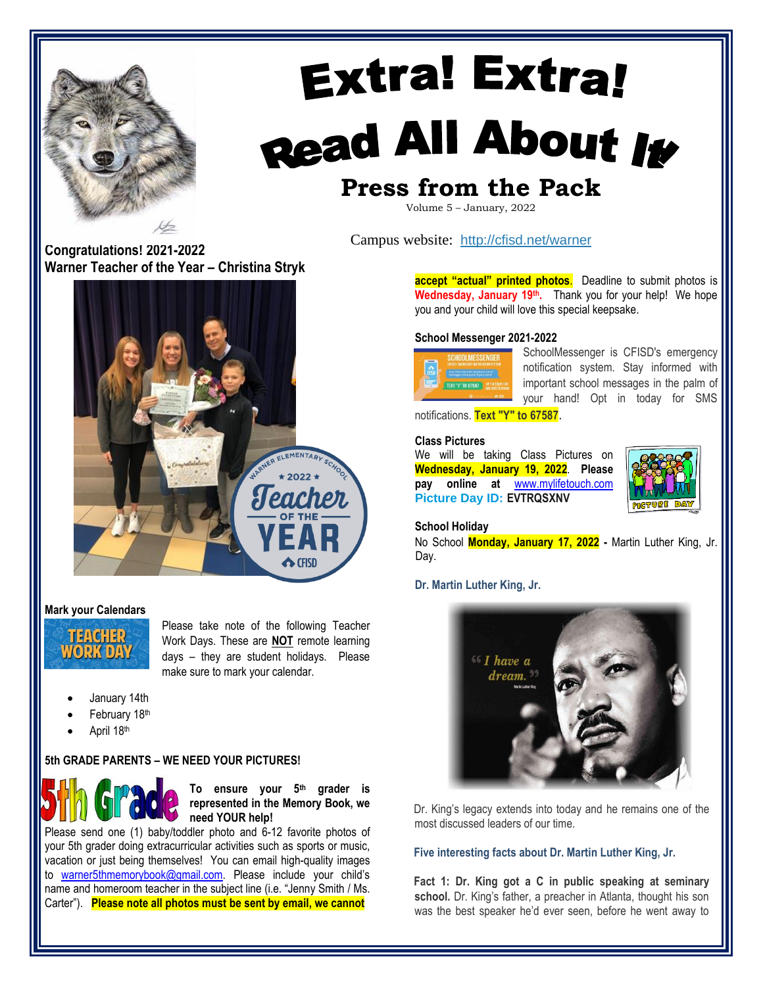

# **Extra! Extra!** Read All About It **Press from the Pack**

Volume 5 – January, 2022

**Congratulations! 2021-2022 Warner Teacher of the Year – Christina Stryk**



# **Mark your Calendars**



Please take note of the following Teacher Work Days. These are **NOT** remote learning days – they are student holidays. Please make sure to mark your calendar.

- January 14th
- February 18th
- April 18th

# **5th GRADE PARENTS – WE NEED YOUR PICTURES!**



**To ensure your 5th grader is represented in the Memory Book, we need YOUR help!** 

Please send one (1) baby/toddler photo and 6-12 favorite photos of your 5th grader doing extracurricular activities such as sports or music, vacation or just being themselves! You can email high-quality images to [warner5thmemorybook@gmail.com.](mailto:warner5thmemorybook@gmail.com) Please include your child's name and homeroom teacher in the subject line (i.e. "Jenny Smith / Ms. Carter"). **Please note all photos must be sent by email, we cannot** 

Campus website: <http://cfisd.net/warner>

**accept "actual" printed photos.** Deadline to submit photos is **Wednesday, January 19th .** Thank you for your help! We hope you and your child will love this special keepsake.

# **School Messenger 2021-2022**



SchoolMessenger is CFISD's emergency notification system. Stay informed with important school messages in the palm of your hand! Opt in today for SMS

notifications. **Text "Y" to 67587**.

## **Class Pictures**

We will be taking Class Pictures on **Wednesday, January 19, 2022**. **Please pay online at** [www.mylifetouch.com](http://www.mylifetouch.com/) **Picture Day ID: EVTRQSXNV**



# **School Holiday**

No School **Monday, January 17, 2022 -** Martin Luther King, Jr. Day.

**Dr. Martin Luther King, Jr.** 



Dr. King's legacy extends into today and he remains one of the most discussed leaders of our time.

# **Five interesting facts about Dr. Martin Luther King, Jr.**

**Fact 1: Dr. King got a C in public speaking at seminary**  school. Dr. King's father, a preacher in Atlanta, thought his son was the best speaker he'd ever seen, before he went away to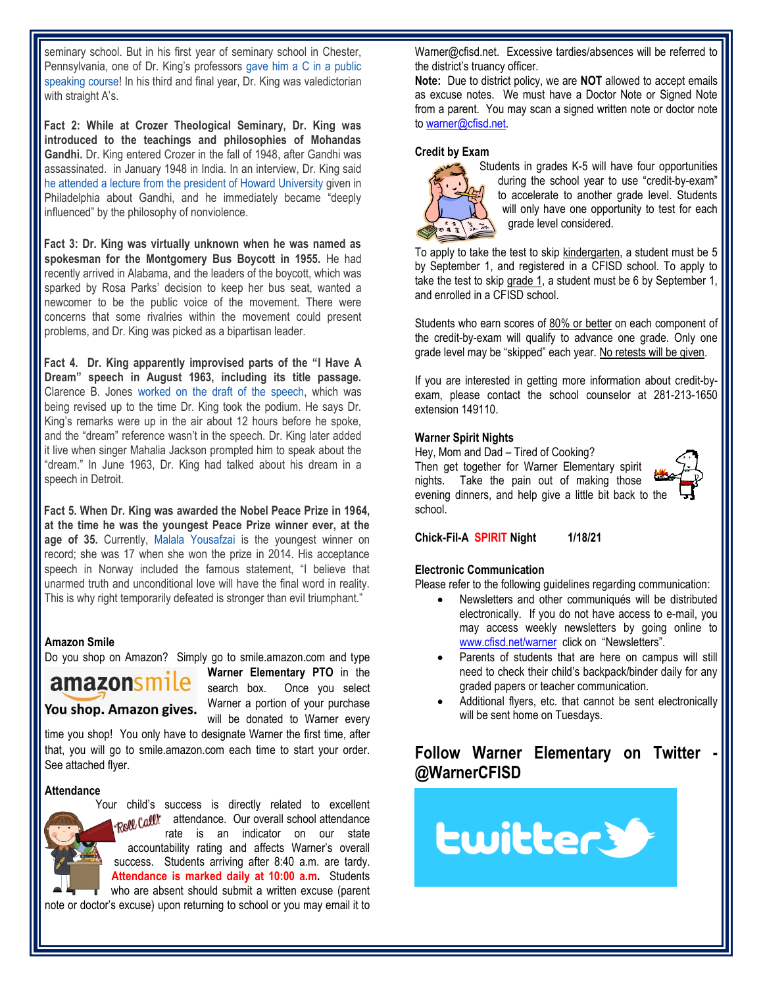seminary school. But in his first year of seminary school in Chester, Pennsylvania, one of Dr. King's professor[s](http://www.thekingcenter.org/archive/document/mlks-transcript-crozer-theological-seminary) [gave him a C in a public](http://www.thekingcenter.org/archive/document/mlks-transcript-crozer-theological-seminary)  [speaking course!](http://www.thekingcenter.org/archive/document/mlks-transcript-crozer-theological-seminary) In his third and final year, Dr. King was valedictorian with straight A's.

**Fact 2: While at Crozer Theological Seminary, Dr. King was introduced to the teachings and philosophies of Mohandas Gandhi.** Dr. King entered Crozer in the fall of 1948, after Gandhi was assassinated. in January 1948 in India. In an interview, Dr. King sai[d](http://www.youtube.com/watch?v=PQayMdP79cg) [he attended a lecture from the president of Howard University](http://www.youtube.com/watch?v=PQayMdP79cg) [giv](http://www.youtube.com/watch?v=PQayMdP79cg)en in Philadelphia about Gandhi, and he immediately became "deeply influenced" by the philosophy of nonviolence.

**Fact 3: Dr. King was virtually unknown when he was named as spokesman for the Montgomery Bus Boycott in 1955.** He had recently arrived in Alabama, and the leaders of the boycott, which was sparked by Rosa Parks' decision to keep her bus seat, wanted a newcomer to be the public voice of the movement. There were concerns that some rivalries within the movement could present problems, and Dr. King was picked as a bipartisan leader.

**Fact 4. Dr. King apparently improvised parts of the "I Have A Dream" speech in August 1963, including its title passage.** Clarence B. Jone[s](http://www.npr.org/2011/01/17/132905796/dream-speech-writer-jones-reflects-on-king-jr) [worked on the draft of the speech,](http://www.npr.org/2011/01/17/132905796/dream-speech-writer-jones-reflects-on-king-jr) which was being revised up to the time Dr. King took the podium. He says Dr. King's remarks were up in the air about 12 hours before he spoke, and the "dream" reference wasn't in the speech. Dr. King later added it live when singer Mahalia Jackson prompted him to speak about the "dream." In June 1963, Dr. King had talked about his dream in a speech in Detroit.

**Fact 5. When Dr. King was awarded the Nobel Peace Prize in 1964, at the time he was the youngest Peace Prize winner ever, at the age of 35.** Currently, [Malala Yousafzai](http://blog.constitutioncenter.org/2014/10/full-video-malala-yousafzais-liberty-medal-acceptance-speech/) [is](http://blog.constitutioncenter.org/2014/10/full-video-malala-yousafzais-liberty-medal-acceptance-speech/) the youngest winner on record; she was 17 when she won the prize in 2014. His acceptance speech in Norway included the famous statement, "I believe that unarmed truth and unconditional love will have the final word in reality. This is why right temporarily defeated is stronger than evil triumphant."

#### **Amazon Smile**

Do you shop on Amazon? Simply go to smile.amazon.com and type



**Warner Elementary PTO** in the search box. Once you select You shop. Amazon gives. Warner a portion of your purchase will be donated to Warner every

time you shop! You only have to designate Warner the first time, after that, you will go to smile.amazon.com each time to start your order. See attached flyer.

#### **Attendance**

Your child's success is directly related to excellent Roll Call! attendance. Our overall school attendance rate is an indicator on our state accountability rating and affects Warner's overall success. Students arriving after 8:40 a.m. are tardy. **Attendance is marked daily at 10:00 a.m.** Students who are absent should submit a written excuse (parent note or doctor's excuse) upon returning to school or you may email it to

Warner@cfisd.net. Excessive tardies/absences will be referred to the district's truancy officer.

**Note:** Due to district policy, we are **NOT** allowed to accept emails as excuse notes. We must have a Doctor Note or Signed Note from a parent. You may scan a signed written note or doctor note to [warner@cfisd.net.](mailto:warner@cfisd.net)

#### **Credit by Exam**



Students in grades K-5 will have four opportunities during the school year to use "credit-by-exam" to accelerate to another grade level. Students will only have one opportunity to test for each grade level considered.

To apply to take the test to skip kindergarten, a student must be 5 by September 1, and registered in a CFISD school. To apply to take the test to skip grade 1, a student must be 6 by September 1, and enrolled in a CFISD school.

Students who earn scores of 80% or better on each component of the credit-by-exam will qualify to advance one grade. Only one grade level may be "skipped" each year. No retests will be given.

If you are interested in getting more information about credit-byexam, please contact the school counselor at 281-213-1650 extension 149110.

#### **Warner Spirit Nights**

Hey, Mom and Dad – Tired of Cooking? Then get together for Warner Elementary spirit nights. Take the pain out of making those evening dinners, and help give a little bit back to the school.



**Chick-Fil-A SPIRIT Night 1/18/21**

### **Electronic Communication**

Please refer to the following guidelines regarding communication:

- Newsletters and other communiqués will be distributed electronically. If you do not have access to e-mail, you may access weekly newsletters by going online to [www.cfisd.net/warner](http://www.cfisd.net/warner) click on "Newsletters".
- Parents of students that are here on campus will still need to check their child's backpack/binder daily for any graded papers or teacher communication.
- Additional flyers, etc. that cannot be sent electronically will be sent home on Tuesdays.

# **Follow Warner Elementary on Twitter @WarnerCFISD**